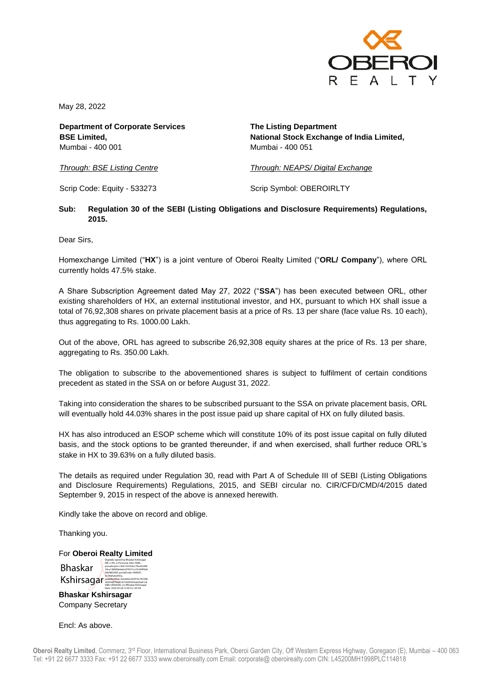

May 28, 2022

**Department of Corporate Services BSE Limited,** Mumbai - 400 001

**The Listing Department National Stock Exchange of India Limited,** Mumbai - 400 051

*Through: BSE Listing Centre*

*Through: NEAPS/ Digital Exchange*

Scrip Code: Equity - 533273

Scrip Symbol: OBEROIRLTY

## **Sub: Regulation 30 of the SEBI (Listing Obligations and Disclosure Requirements) Regulations, 2015.**

Dear Sirs,

Homexchange Limited ("**HX**") is a joint venture of Oberoi Realty Limited ("**ORL/ Company**"), where ORL currently holds 47.5% stake.

A Share Subscription Agreement dated May 27, 2022 ("**SSA**") has been executed between ORL, other existing shareholders of HX, an external institutional investor, and HX, pursuant to which HX shall issue a total of 76,92,308 shares on private placement basis at a price of Rs. 13 per share (face value Rs. 10 each), thus aggregating to Rs. 1000.00 Lakh.

Out of the above, ORL has agreed to subscribe 26,92,308 equity shares at the price of Rs. 13 per share, aggregating to Rs. 350.00 Lakh.

The obligation to subscribe to the abovementioned shares is subject to fulfilment of certain conditions precedent as stated in the SSA on or before August 31, 2022.

Taking into consideration the shares to be subscribed pursuant to the SSA on private placement basis, ORL will eventually hold 44.03% shares in the post issue paid up share capital of HX on fully diluted basis.

HX has also introduced an ESOP scheme which will constitute 10% of its post issue capital on fully diluted basis, and the stock options to be granted thereunder, if and when exercised, shall further reduce ORL's stake in HX to 39.63% on a fully diluted basis.

The details as required under Regulation 30, read with Part A of Schedule III of SEBI (Listing Obligations and Disclosure Requirements) Regulations, 2015, and SEBI circular no. CIR/CFD/CMD/4/2015 dated September 9, 2015 in respect of the above is annexed herewith.

Kindly take the above on record and oblige.

Digitally signed by Bhaskar Kshirsagar

Thanking you.

For **Oberoi Realty Limited**

Bhaskar **Kshirsagar**<br>1923-445431ebCeb62e363f19c763398<br>1926 distribution of the Bhaskar Kshirsagar<br>1946 distribution cm=Bhaskar Kshirsagar DN: c=IN, o=Personal, title=5885, pseudonym=c4dc19225dcc79ee9cd48 29ca128689a4aded74331ce1fc364f9a8 36b480345f, postalCode=400097, Date: 2022.05.28 15:45:53 +05'30'

**Bhaskar Kshirsagar**  Company Secretary

Encl: As above.